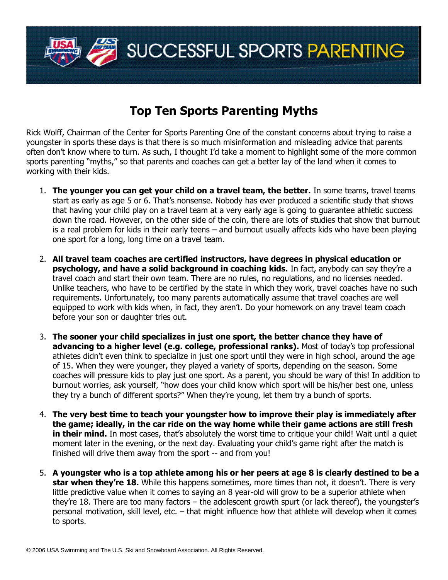

## **Top Ten Sports Parenting Myths**

Rick Wolff, Chairman of the Center for Sports Parenting One of the constant concerns about trying to raise a youngster in sports these days is that there is so much misinformation and misleading advice that parents often don't know where to turn. As such, I thought I'd take a moment to highlight some of the more common sports parenting "myths," so that parents and coaches can get a better lay of the land when it comes to working with their kids.

- 1. **The younger you can get your child on a travel team, the better.** In some teams, travel teams start as early as age 5 or 6. That's nonsense. Nobody has ever produced a scientific study that shows that having your child play on a travel team at a very early age is going to guarantee athletic success down the road. However, on the other side of the coin, there are lots of studies that show that burnout is a real problem for kids in their early teens  $-$  and burnout usually affects kids who have been playing one sport for a long, long time on a travel team.
- 2. **All travel team coaches are certified instructors, have degrees in physical education or psychology, and have a solid background in coaching kids.** In fact, anybody can say they're a travel coach and start their own team. There are no rules, no regulations, and no licenses needed. Unlike teachers, who have to be certified by the state in which they work, travel coaches have no such requirements. Unfortunately, too many parents automatically assume that travel coaches are well equipped to work with kids when, in fact, they aren't. Do your homework on any travel team coach before your son or daughter tries out.
- 3. **The sooner your child specializes in just one sport, the better chance they have of** advancing to a higher level (e.g. college, professional ranks). Most of today's top professional athletes didn't even think to specialize in just one sport until they were in high school, around the age of 15. When they were younger, they played a variety of sports, depending on the season. Some coaches will pressure kids to play just one sport. As a parent, you should be wary of this! In addition to burnout worries, ask yourself, "how does your child know which sport will be his/her best one, unless they try a bunch of different sports?" When they're young, let them try a bunch of sports.
- 4. **The very best time to teach your youngster how to improve their play is immediately after the game; ideally, in the car ride on the way home while their game actions are still fresh in their mind.** In most cases, that's absolutely the worst time to critique your child! Wait until a quiet moment later in the evening, or the next day. Evaluating your child's game right after the match is finished will drive them away from the sport -- and from you!
- 5. **A youngster who is a top athlete among his or her peers at age 8 is clearly destined to be a star when they're 18.** While this happens sometimes, more times than not, it doesn't. There is very little predictive value when it comes to saying an 8 year-old will grow to be a superior athlete when they're 18. There are too many factors – the adolescent growth spurt (or lack thereof), the youngster's personal motivation, skill level, etc. - that might influence how that athlete will develop when it comes to sports.